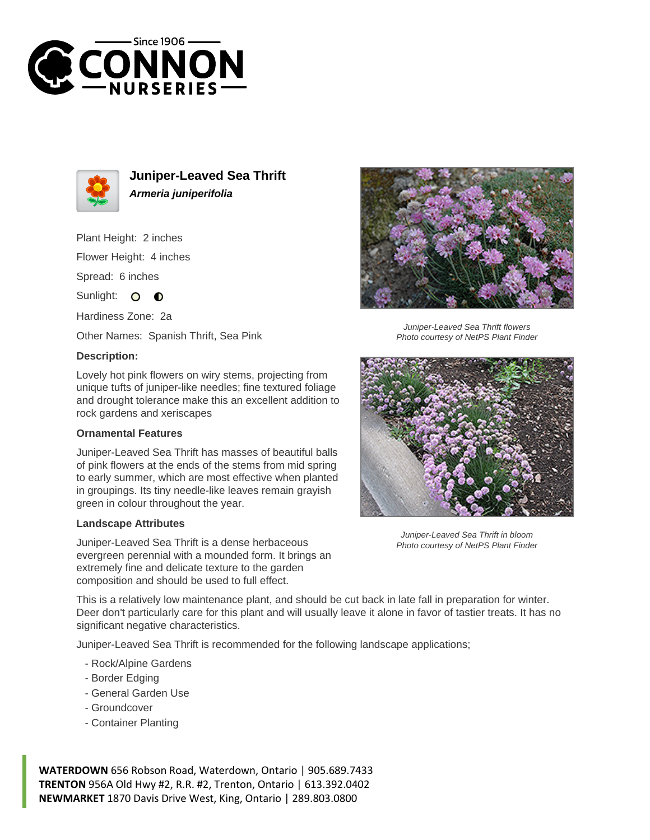



**Juniper-Leaved Sea Thrift Armeria juniperifolia**

Plant Height: 2 inches Flower Height: 4 inches

Spread: 6 inches

Sunlight: O **O** 

Hardiness Zone: 2a

Other Names: Spanish Thrift, Sea Pink

## **Description:**

Lovely hot pink flowers on wiry stems, projecting from unique tufts of juniper-like needles; fine textured foliage and drought tolerance make this an excellent addition to rock gardens and xeriscapes

## **Ornamental Features**

Juniper-Leaved Sea Thrift has masses of beautiful balls of pink flowers at the ends of the stems from mid spring to early summer, which are most effective when planted in groupings. Its tiny needle-like leaves remain grayish green in colour throughout the year.

## **Landscape Attributes**

Juniper-Leaved Sea Thrift is a dense herbaceous evergreen perennial with a mounded form. It brings an extremely fine and delicate texture to the garden composition and should be used to full effect.



Juniper-Leaved Sea Thrift flowers Photo courtesy of NetPS Plant Finder



Juniper-Leaved Sea Thrift in bloom Photo courtesy of NetPS Plant Finder

This is a relatively low maintenance plant, and should be cut back in late fall in preparation for winter. Deer don't particularly care for this plant and will usually leave it alone in favor of tastier treats. It has no significant negative characteristics.

Juniper-Leaved Sea Thrift is recommended for the following landscape applications;

- Rock/Alpine Gardens
- Border Edging
- General Garden Use
- Groundcover
- Container Planting

**WATERDOWN** 656 Robson Road, Waterdown, Ontario | 905.689.7433 **TRENTON** 956A Old Hwy #2, R.R. #2, Trenton, Ontario | 613.392.0402 **NEWMARKET** 1870 Davis Drive West, King, Ontario | 289.803.0800